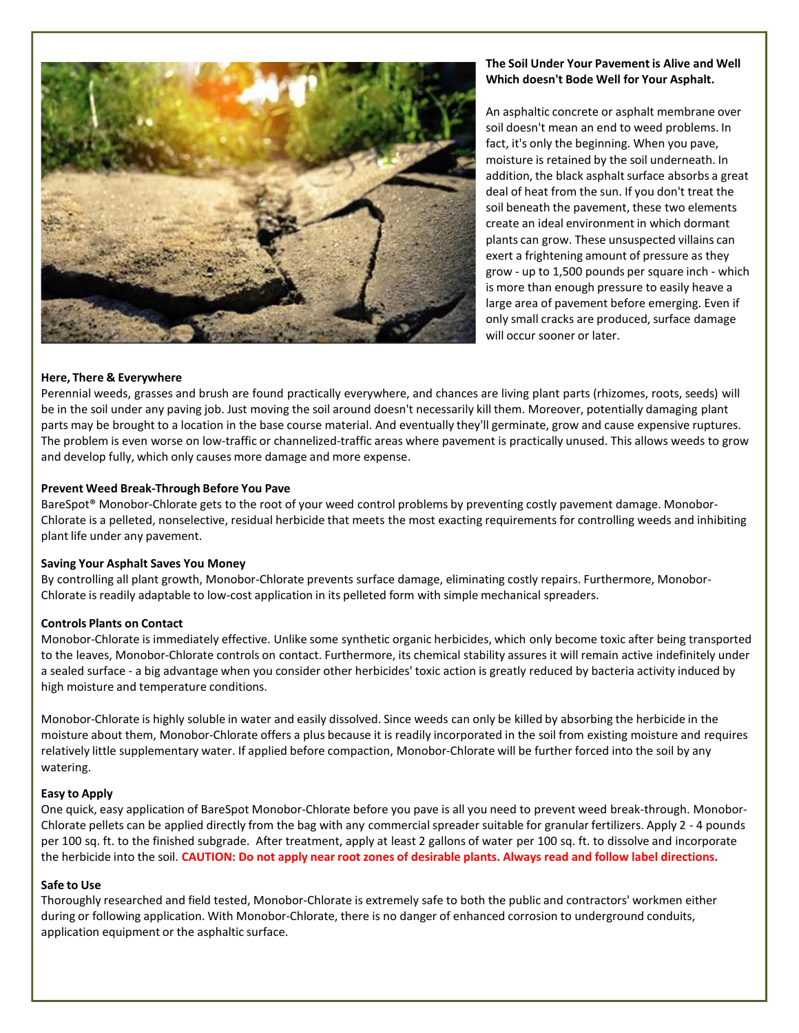

# **The Soil Under Your Pavement is Alive and Well Which doesn't Bode Well for Your Asphalt.**

An asphaltic concrete or asphalt membrane over soil doesn't mean an end to weed problems. In fact, it's only the beginning. When you pave, moisture is retained by the soil underneath. In addition, the black asphalt surface absorbs a great deal of heat from the sun. If you don't treat the soil beneath the pavement, these two elements create an ideal environment in which dormant plants can grow. These unsuspected villains can exert a frightening amount of pressure as they grow - up to 1,500 pounds per square inch - which is more than enough pressure to easily heave a large area of pavement before emerging. Even if only small cracks are produced, surface damage will occur sooner or later.

## **Here, There & Everywhere**

Perennial weeds, grasses and brush are found practically everywhere, and chances are living plant parts (rhizomes, roots, seeds) will be in the soil under any paving job. Just moving the soil around doesn't necessarily kill them. Moreover, potentially damaging plant parts may be brought to a location in the base course material. And eventually they'll germinate, grow and cause expensive ruptures. The problem is even worse on low-traffic or channelized-traffic areas where pavement is practically unused. This allows weeds to grow and develop fully, which only causes more damage and more expense.

## **Prevent Weed Break-Through Before You Pave**

BareSpot® Monobor-Chlorate gets to the root of your weed control problems by preventing costly pavement damage. Monobor-Chlorate is a pelleted, nonselective, residual herbicide that meets the most exacting requirements for controlling weeds and inhibiting plant life under any pavement.

## **Saving Your Asphalt Saves You Money**

By controlling all plant growth, Monobor-Chlorate prevents surface damage, eliminating costly repairs. Furthermore, Monobor-Chlorate is readily adaptable to low-cost application in its pelleted form with simple mechanical spreaders.

## **Controls Plants on Contact**

Monobor-Chlorate is immediately effective. Unlike some synthetic organic herbicides, which only become toxic after being transported to the leaves, Monobor-Chlorate controls on contact. Furthermore, its chemical stability assures it will remain active indefinitely under a sealed surface - a big advantage when you consider other herbicides' toxic action is greatly reduced by bacteria activity induced by high moisture and temperature conditions.

Monobor-Chlorate is highly soluble in water and easily dissolved. Since weeds can only be killed by absorbing the herbicide in the moisture about them, Monobor-Chlorate offers a plus because it is readily incorporated in the soil from existing moisture and requires relatively little supplementary water. If applied before compaction, Monobor-Chlorate will be further forced into the soil by any watering.

## **Easy to Apply**

One quick, easy application of BareSpot Monobor-Chlorate before you pave is all you need to prevent weed break-through. Monobor-Chlorate pellets can be applied directly from the bag with any commercial spreader suitable for granular fertilizers. Apply 2 - 4 pounds per 100 sq. ft. to the finished subgrade. After treatment, apply at least 2 gallons of water per 100 sq. ft. to dissolve and incorporate the herbicide into the soil. CAUTION: Do not apply near root zones of desirable plants. Always read and follow label directions.

## **Safe to Use**

Thoroughly researched and field tested, Monobor-Chlorate is extremely safe to both the public and contractors' workmen either during or following application. With Monobor-Chlorate, there is no danger of enhanced corrosion to underground conduits, application equipment or the asphaltic surface.